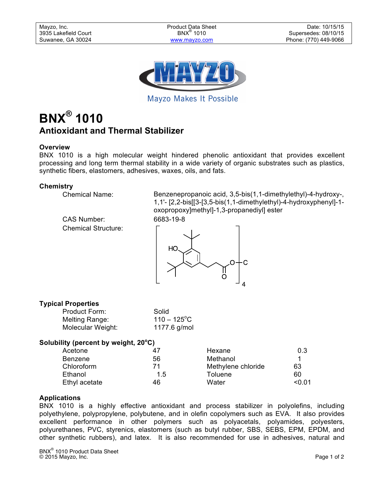

Mayzo Makes It Possible

# **BNX® 1010 Antioxidant and Thermal Stabilizer**

# **Overview**

BNX 1010 is a high molecular weight hindered phenolic antioxidant that provides excellent processing and long term thermal stability in a wide variety of organic substrates such as plastics, synthetic fibers, elastomers, adhesives, waxes, oils, and fats.

#### **Chemistry**

CAS Number: 6683-19-8 Chemical Structure:

Chemical Name: Benzenepropanoic acid, 3,5-bis(1,1-dimethylethyl)-4-hydroxy-, 1,1'- [2,2-bis[[3-[3,5-bis(1,1-dimethylethyl)-4-hydroxyphenyl]-1 oxopropoxy]methyl]-1,3-propanediyl] ester





# **Typical Properties**

| Product Form:     | Solid                 |
|-------------------|-----------------------|
| Melting Range:    | $110 - 125^{\circ}$ C |
| Molecular Weight: | 1177.6 g/mol          |

# **Solubility (percent by weight, 20<sup>o</sup> C)**

| Acetone        | 47  | Hexane             | 0.3    |
|----------------|-----|--------------------|--------|
| <b>Benzene</b> | 56  | Methanol           |        |
| Chloroform     | 71  | Methylene chloride | 63     |
| Ethanol        | 1.5 | Toluene            | 60     |
| Ethyl acetate  | 46  | Water              | < 0.01 |

# **Applications**

BNX 1010 is a highly effective antioxidant and process stabilizer in polyolefins, including polyethylene, polypropylene, polybutene, and in olefin copolymers such as EVA. It also provides excellent performance in other polymers such as polyacetals, polyamides, polyesters, polyurethanes, PVC, styrenics, elastomers (such as butyl rubber, SBS, SEBS, EPM, EPDM, and other synthetic rubbers), and latex. It is also recommended for use in adhesives, natural and